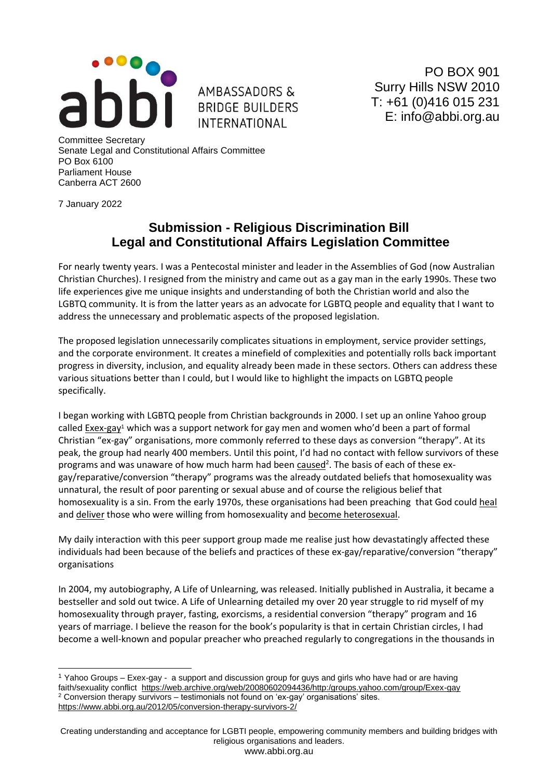

AMBASSADORS & **BRIDGE BUILDERS INTERNATIONAL** 

PO BOX 901 Surry Hills NSW 2010 T: +61 (0)416 015 231 E: info@abbi.org.au

Committee Secretary Senate Legal and Constitutional Affairs Committee PO Box 6100 Parliament House Canberra ACT 2600

7 January 2022

## **Submission - Religious Discrimination Bill Legal and Constitutional Affairs Legislation Committee**

For nearly twenty years. I was a Pentecostal minister and leader in the Assemblies of God (now Australian Christian Churches). I resigned from the ministry and came out as a gay man in the early 1990s. These two life experiences give me unique insights and understanding of both the Christian world and also the LGBTQ community. It is from the latter years as an advocate for LGBTQ people and equality that I want to address the unnecessary and problematic aspects of the proposed legislation.

The proposed legislation unnecessarily complicates situations in employment, service provider settings, and the corporate environment. It creates a minefield of complexities and potentially rolls back important progress in diversity, inclusion, and equality already been made in these sectors. Others can address these various situations better than I could, but I would like to highlight the impacts on LGBTQ people specifically.

I began working with LGBTQ people from Christian backgrounds in 2000. I set up an online Yahoo group calle[d Exex-gay](https://web.archive.org/web/20080602094436/http:/groups.yahoo.com/group/Exex-gay)<sup>1</sup> which was a support network for gay men and women who'd been a part of formal Christian "ex-gay" organisations, more commonly referred to these days as conversion "therapy". At its peak, the group had nearly 400 members. Until this point, I'd had no contact with fellow survivors of these programs and was unaware of how much harm had been [caused](https://www.abbi.org.au/2012/05/conversion-therapy-survivors-2/)<sup>2</sup>. The basis of each of these exgay/reparative/conversion "therapy" programs was the already outdated beliefs that homosexuality was unnatural, the result of poor parenting or sexual abuse and of course the religious belief that homosexuality is a sin. From the early 1970s, these organisations had been preaching that God could heal and deliver those who were willing from homosexuality and become heterosexual.

My daily interaction with this peer support group made me realise just how devastatingly affected these individuals had been because of the beliefs and practices of these ex-gay/reparative/conversion "therapy" organisations

In 2004, my autobiography, A Life of Unlearning, was released. Initially published in Australia, it became a bestseller and sold out twice. A Life of Unlearning detailed my over 20 year struggle to rid myself of my homosexuality through prayer, fasting, exorcisms, a residential conversion "therapy" program and 16 years of marriage. I believe the reason for the book's popularity is that in certain Christian circles, I had become a well-known and popular preacher who preached regularly to congregations in the thousands in

<sup>1</sup> Yahoo Groups – Exex-gay - a support and discussion group for guys and girls who have had or are having faith/sexuality conflict <https://web.archive.org/web/20080602094436/http:/groups.yahoo.com/group/Exex-gay>  $2$  Conversion therapy survivors – testimonials not found on 'ex-gay' organisations' sites. <https://www.abbi.org.au/2012/05/conversion-therapy-survivors-2/>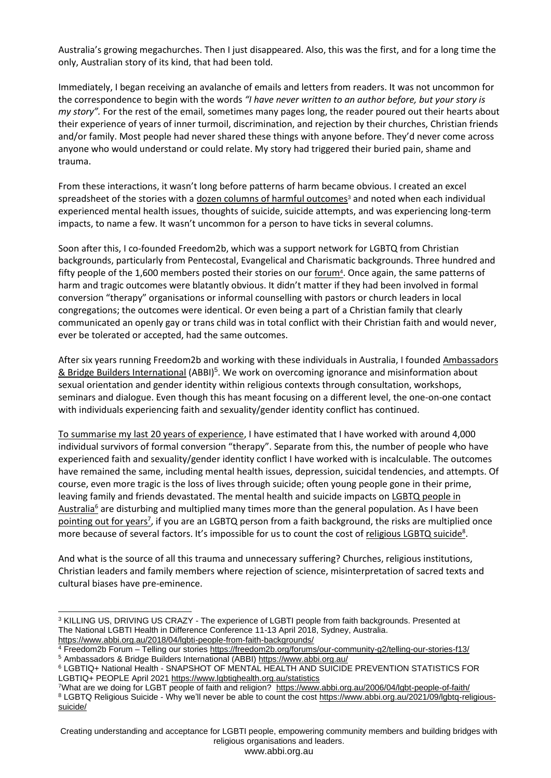Australia's growing megachurches. Then I just disappeared. Also, this was the first, and for a long time the only, Australian story of its kind, that had been told.

Immediately, I began receiving an avalanche of emails and letters from readers. It was not uncommon for the correspondence to begin with the words *"I have never written to an author before, but your story is my story".* For the rest of the email, sometimes many pages long, the reader poured out their hearts about their experience of years of inner turmoil, discrimination, and rejection by their churches, Christian friends and/or family. Most people had never shared these things with anyone before. They'd never come across anyone who would understand or could relate. My story had triggered their buried pain, shame and trauma.

From these interactions, it wasn't long before patterns of harm became obvious. I created an excel spreadsheet of the stories with a [dozen columns of harmful outcomes](https://www.abbi.org.au/2018/04/lgbti-people-from-faith-backgrounds/)<sup>3</sup> and noted when each individual experienced mental health issues, thoughts of suicide, suicide attempts, and was experiencing long-term impacts, to name a few. It wasn't uncommon for a person to have ticks in several columns.

Soon after this, I co-founded Freedom2b, which was a support network for LGBTQ from Christian backgrounds, particularly from Pentecostal, Evangelical and Charismatic backgrounds. Three hundred and fifty people of the 1,600 members posted their stories on ou[r forum](https://freedom2b.org/forums/our-community-g2/telling-our-stories-f13/)<sup>4</sup>. Once again, the same patterns of harm and tragic outcomes were blatantly obvious. It didn't matter if they had been involved in formal conversion "therapy" organisations or informal counselling with pastors or church leaders in local congregations; the outcomes were identical. Or even being a part of a Christian family that clearly communicated an openly gay or trans child was in total conflict with their Christian faith and would never, ever be tolerated or accepted, had the same outcomes.

After six years running Freedom2b and working with these individuals in Australia, I founde[d Ambassadors](https://www.abbi.org.au/)  [& Bridge Builders International](https://www.abbi.org.au/) (ABBI)<sup>5</sup>. We work on overcoming ignorance and misinformation about sexual orientation and gender identity within religious contexts through consultation, workshops, seminars and dialogue. Even though this has meant focusing on a different level, the one-on-one contact with individuals experiencing faith and sexuality/gender identity conflict has continued.

To summarise my last 20 years of experience, I have estimated that I have worked with around 4,000 individual survivors of formal conversion "therapy". Separate from this, the number of people who have experienced faith and sexuality/gender identity conflict I have worked with is incalculable. The outcomes have remained the same, including mental health issues, depression, suicidal tendencies, and attempts. Of course, even more tragic is the loss of lives through suicide; often young people gone in their prime, leaving family and friends devastated. The mental health and suicide impacts o[n LGBTQ people in](https://d3n8a8pro7vhmx.cloudfront.net/lgbtihealth/pages/549/attachments/original/1620871703/2021_Snapshot_of_Mental_Health2.pdf)  [Australia](https://d3n8a8pro7vhmx.cloudfront.net/lgbtihealth/pages/549/attachments/original/1620871703/2021_Snapshot_of_Mental_Health2.pdf)<sup>6</sup> are disturbing and multiplied many times more than the general population. As I have been [pointing out for years](https://www.abbi.org.au/2006/04/lgbt-people-of-faith/)<sup>7</sup>, if you are an LGBTQ person from a faith background, the risks are multiplied once more because of several factors. It's impossible for us to count the cost of [religious LGBTQ suicide](https://www.abbi.org.au/2021/09/lgbtq-religious-suicide/)<sup>8</sup>.

And what is the source of all this trauma and unnecessary suffering? Churches, religious institutions, Christian leaders and family members where rejection of science, misinterpretation of sacred texts and cultural biases have pre-eminence.

<sup>&</sup>lt;sup>3</sup> KILLING US, DRIVING US CRAZY - The experience of LGBTI people from faith backgrounds. Presented at The National LGBTI Health in Difference Conference 11-13 April 2018, Sydney, Australia. <https://www.abbi.org.au/2018/04/lgbti-people-from-faith-backgrounds/>

<sup>4</sup> Freedom2b Forum – Telling our stories<https://freedom2b.org/forums/our-community-g2/telling-our-stories-f13/>

<sup>5</sup> Ambassadors & Bridge Builders International (ABBI)<https://www.abbi.org.au/>

<sup>6</sup> LGBTIQ+ National Health - SNAPSHOT OF MENTAL HEALTH AND SUICIDE PREVENTION STATISTICS FOR LGBTIQ+ PEOPLE April 2021<https://www.lgbtiqhealth.org.au/statistics>

<sup>&</sup>lt;sup>7</sup>What are we doing for LGBT people of faith and religion? <https://www.abbi.org.au/2006/04/lgbt-people-of-faith/> <sup>8</sup> LGBTQ Religious Suicide - Why we'll never be able to count the cost [https://www.abbi.org.au/2021/09/lgbtq-religious](https://www.abbi.org.au/2021/09/lgbtq-religious-suicide/)[suicide/](https://www.abbi.org.au/2021/09/lgbtq-religious-suicide/)